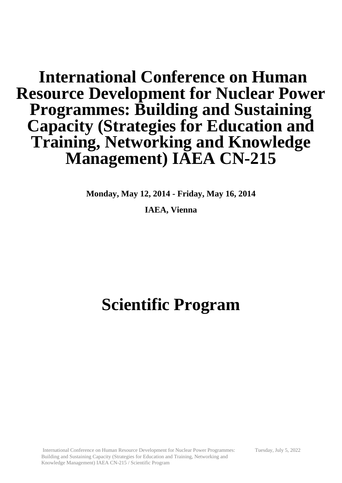# **International Conference on Human Resource Development for Nuclear Power Programmes: Building and Sustaining Capacity (Strategies for Education and Training, Networking and Knowledge Management) IAEA CN-215**

**Monday, May 12, 2014 - Friday, May 16, 2014**

**IAEA, Vienna**

# **Scientific Program**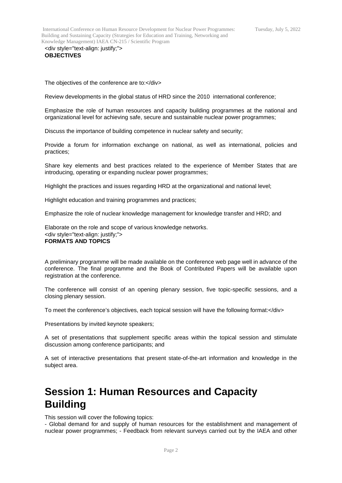International Conference on Human Resource Development for Nuclear Power Programmes: Building and Sustaining Capacity (Strategies for Education and Training, Networking and Knowledge Management) IAEA CN-215 / Scientific Program

<div style="text-align: justify;"> **OBJECTIVES**

The objectives of the conference are to:</div>

Review developments in the global status of HRD since the 2010 international conference;

Emphasize the role of human resources and capacity building programmes at the national and organizational level for achieving safe, secure and sustainable nuclear power programmes;

Discuss the importance of building competence in nuclear safety and security;

Provide a forum for information exchange on national, as well as international, policies and practices;

Share key elements and best practices related to the experience of Member States that are introducing, operating or expanding nuclear power programmes;

Highlight the practices and issues regarding HRD at the organizational and national level;

Highlight education and training programmes and practices;

Emphasize the role of nuclear knowledge management for knowledge transfer and HRD; and

Elaborate on the role and scope of various knowledge networks. <div style="text-align: justify;"> **FORMATS AND TOPICS**

A preliminary programme will be made available on the conference web page well in advance of the conference. The final programme and the Book of Contributed Papers will be available upon registration at the conference.

The conference will consist of an opening plenary session, five topic-specific sessions, and a closing plenary session.

To meet the conference's objectives, each topical session will have the following format:</div>

Presentations by invited keynote speakers;

A set of presentations that supplement specific areas within the topical session and stimulate discussion among conference participants; and

A set of interactive presentations that present state-of-the-art information and knowledge in the subject area.

## **Session 1: Human Resources and Capacity Building**

This session will cover the following topics:

- Global demand for and supply of human resources for the establishment and management of nuclear power programmes; - Feedback from relevant surveys carried out by the IAEA and other